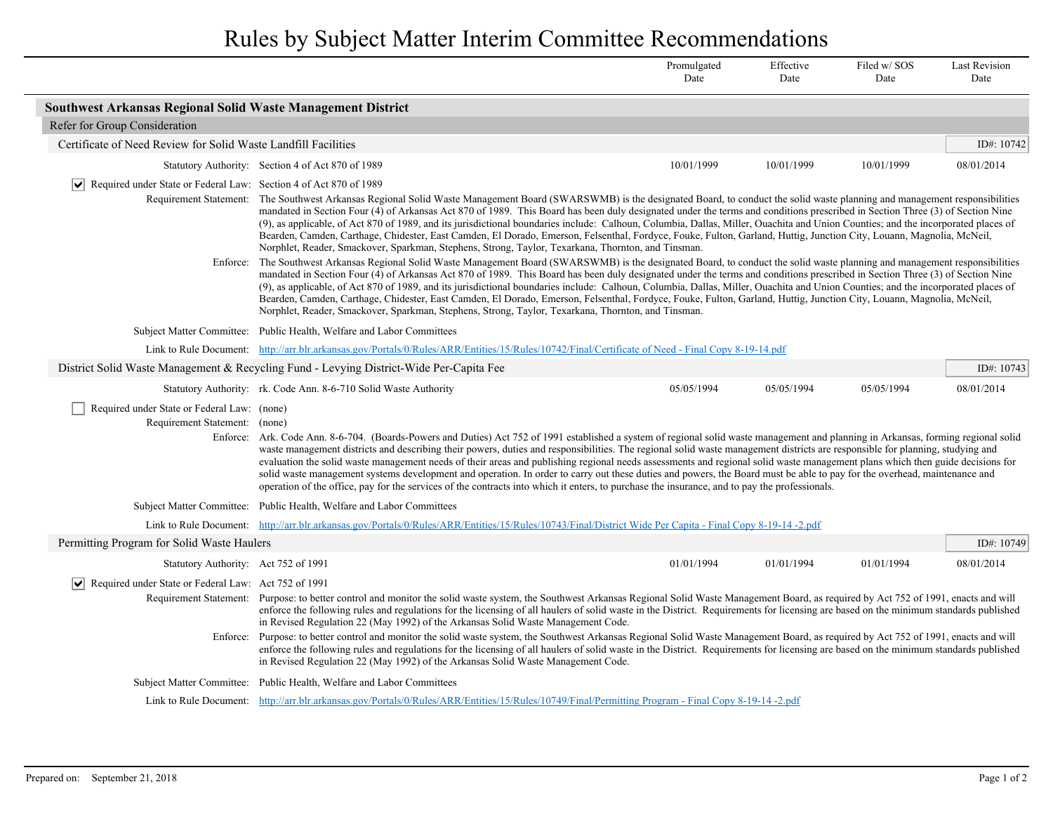Rules by Subject Matter Interim Committee Recommendations

|                                                                                  |                                                                                                                                                                                                                                                                                                                                                                                                                                                                                                                                                                                                                                                                                                                                                                                                                                                                                                                                                                                                                             | Promulgated<br>Date | Effective<br>Date | Filed w/SOS<br>Date | <b>Last Revision</b><br>Date |  |  |
|----------------------------------------------------------------------------------|-----------------------------------------------------------------------------------------------------------------------------------------------------------------------------------------------------------------------------------------------------------------------------------------------------------------------------------------------------------------------------------------------------------------------------------------------------------------------------------------------------------------------------------------------------------------------------------------------------------------------------------------------------------------------------------------------------------------------------------------------------------------------------------------------------------------------------------------------------------------------------------------------------------------------------------------------------------------------------------------------------------------------------|---------------------|-------------------|---------------------|------------------------------|--|--|
| <b>Southwest Arkansas Regional Solid Waste Management District</b>               |                                                                                                                                                                                                                                                                                                                                                                                                                                                                                                                                                                                                                                                                                                                                                                                                                                                                                                                                                                                                                             |                     |                   |                     |                              |  |  |
| Refer for Group Consideration                                                    |                                                                                                                                                                                                                                                                                                                                                                                                                                                                                                                                                                                                                                                                                                                                                                                                                                                                                                                                                                                                                             |                     |                   |                     |                              |  |  |
| Certificate of Need Review for Solid Waste Landfill Facilities                   |                                                                                                                                                                                                                                                                                                                                                                                                                                                                                                                                                                                                                                                                                                                                                                                                                                                                                                                                                                                                                             |                     |                   |                     | ID#: 10742                   |  |  |
|                                                                                  | Statutory Authority: Section 4 of Act 870 of 1989                                                                                                                                                                                                                                                                                                                                                                                                                                                                                                                                                                                                                                                                                                                                                                                                                                                                                                                                                                           | 10/01/1999          | 10/01/1999        | 10/01/1999          | 08/01/2014                   |  |  |
| $ \mathbf{v} $ Required under State or Federal Law: Section 4 of Act 870 of 1989 | Requirement Statement: The Southwest Arkansas Regional Solid Waste Management Board (SWARSWMB) is the designated Board, to conduct the solid waste planning and management responsibilities<br>mandated in Section Four (4) of Arkansas Act 870 of 1989. This Board has been duly designated under the terms and conditions prescribed in Section Three (3) of Section Nine<br>(9), as applicable, of Act 870 of 1989, and its jurisdictional boundaries include: Calhoun, Columbia, Dallas, Miller, Ouachita and Union Counties; and the incorporated places of<br>Bearden, Camden, Carthage, Chidester, East Camden, El Dorado, Emerson, Felsenthal, Fordyce, Fouke, Fulton, Garland, Huttig, Junction City, Louann, Magnolia, McNeil,<br>Norphlet, Reader, Smackover, Sparkman, Stephens, Strong, Taylor, Texarkana, Thornton, and Tinsman.                                                                                                                                                                              |                     |                   |                     |                              |  |  |
| Enforce:                                                                         | The Southwest Arkansas Regional Solid Waste Management Board (SWARSWMB) is the designated Board, to conduct the solid waste planning and management responsibilities<br>mandated in Section Four (4) of Arkansas Act 870 of 1989. This Board has been duly designated under the terms and conditions prescribed in Section Three (3) of Section Nine<br>(9), as applicable, of Act 870 of 1989, and its jurisdictional boundaries include: Calhoun, Columbia, Dallas, Miller, Ouachita and Union Counties; and the incorporated places of<br>Bearden, Camden, Carthage, Chidester, East Camden, El Dorado, Emerson, Felsenthal, Fordyce, Fouke, Fulton, Garland, Huttig, Junction City, Louann, Magnolia, McNeil,<br>Norphlet, Reader, Smackover, Sparkman, Stephens, Strong, Taylor, Texarkana, Thornton, and Tinsman.                                                                                                                                                                                                     |                     |                   |                     |                              |  |  |
|                                                                                  | Subject Matter Committee: Public Health, Welfare and Labor Committees                                                                                                                                                                                                                                                                                                                                                                                                                                                                                                                                                                                                                                                                                                                                                                                                                                                                                                                                                       |                     |                   |                     |                              |  |  |
|                                                                                  | Link to Rule Document: http://arr.blr.arkansas.gov/Portals/0/Rules/ARR/Entities/15/Rules/10742/Final/Certificate of Need - Final Copy 8-19-14.pdf                                                                                                                                                                                                                                                                                                                                                                                                                                                                                                                                                                                                                                                                                                                                                                                                                                                                           |                     |                   |                     |                              |  |  |
|                                                                                  | District Solid Waste Management & Recycling Fund - Levying District-Wide Per-Capita Fee                                                                                                                                                                                                                                                                                                                                                                                                                                                                                                                                                                                                                                                                                                                                                                                                                                                                                                                                     |                     |                   |                     | ID#: 10743                   |  |  |
|                                                                                  | Statutory Authority: rk. Code Ann. 8-6-710 Solid Waste Authority                                                                                                                                                                                                                                                                                                                                                                                                                                                                                                                                                                                                                                                                                                                                                                                                                                                                                                                                                            | 05/05/1994          | 05/05/1994        | 05/05/1994          | 08/01/2014                   |  |  |
| Required under State or Federal Law: (none)<br>Requirement Statement: (none)     | Enforce: Ark. Code Ann. 8-6-704. (Boards-Powers and Duties) Act 752 of 1991 established a system of regional solid waste management and planning in Arkansas, forming regional solid<br>waste management districts and describing their powers, duties and responsibilities. The regional solid waste management districts are responsible for planning, studying and<br>evaluation the solid waste management needs of their areas and publishing regional needs assessments and regional solid waste management plans which then guide decisions for<br>solid waste management systems development and operation. In order to carry out these duties and powers, the Board must be able to pay for the overhead, maintenance and<br>operation of the office, pay for the services of the contracts into which it enters, to purchase the insurance, and to pay the professionals.                                                                                                                                         |                     |                   |                     |                              |  |  |
|                                                                                  | Subject Matter Committee: Public Health, Welfare and Labor Committees                                                                                                                                                                                                                                                                                                                                                                                                                                                                                                                                                                                                                                                                                                                                                                                                                                                                                                                                                       |                     |                   |                     |                              |  |  |
|                                                                                  | Link to Rule Document: http://arr.blr.arkansas.gov/Portals/0/Rules/ARR/Entities/15/Rules/10743/Final/District Wide Per Capita - Final Copy 8-19-14-2.pdf                                                                                                                                                                                                                                                                                                                                                                                                                                                                                                                                                                                                                                                                                                                                                                                                                                                                    |                     |                   |                     |                              |  |  |
| Permitting Program for Solid Waste Haulers                                       |                                                                                                                                                                                                                                                                                                                                                                                                                                                                                                                                                                                                                                                                                                                                                                                                                                                                                                                                                                                                                             |                     |                   |                     | ID#: 10749                   |  |  |
| Statutory Authority: Act 752 of 1991                                             |                                                                                                                                                                                                                                                                                                                                                                                                                                                                                                                                                                                                                                                                                                                                                                                                                                                                                                                                                                                                                             | 01/01/1994          | 01/01/1994        | 01/01/1994          | 08/01/2014                   |  |  |
|                                                                                  | $ \mathbf{v} $ Required under State or Federal Law: Act 752 of 1991<br>Requirement Statement: Purpose: to better control and monitor the solid waste system, the Southwest Arkansas Regional Solid Waste Management Board, as required by Act 752 of 1991, enacts and will<br>enforce the following rules and regulations for the licensing of all haulers of solid waste in the District. Requirements for licensing are based on the minimum standards published<br>in Revised Regulation 22 (May 1992) of the Arkansas Solid Waste Management Code.<br>Enforce: Purpose: to better control and monitor the solid waste system, the Southwest Arkansas Regional Solid Waste Management Board, as required by Act 752 of 1991, enacts and will<br>enforce the following rules and regulations for the licensing of all haulers of solid waste in the District. Requirements for licensing are based on the minimum standards published<br>in Revised Regulation 22 (May 1992) of the Arkansas Solid Waste Management Code. |                     |                   |                     |                              |  |  |
|                                                                                  |                                                                                                                                                                                                                                                                                                                                                                                                                                                                                                                                                                                                                                                                                                                                                                                                                                                                                                                                                                                                                             |                     |                   |                     |                              |  |  |
|                                                                                  | Subject Matter Committee: Public Health, Welfare and Labor Committees                                                                                                                                                                                                                                                                                                                                                                                                                                                                                                                                                                                                                                                                                                                                                                                                                                                                                                                                                       |                     |                   |                     |                              |  |  |
|                                                                                  | Link to Rule Document: http://arr.blr.arkansas.gov/Portals/0/Rules/ARR/Entities/15/Rules/10749/Final/Permitting Program - Final Copy 8-19-14 -2.pdf                                                                                                                                                                                                                                                                                                                                                                                                                                                                                                                                                                                                                                                                                                                                                                                                                                                                         |                     |                   |                     |                              |  |  |